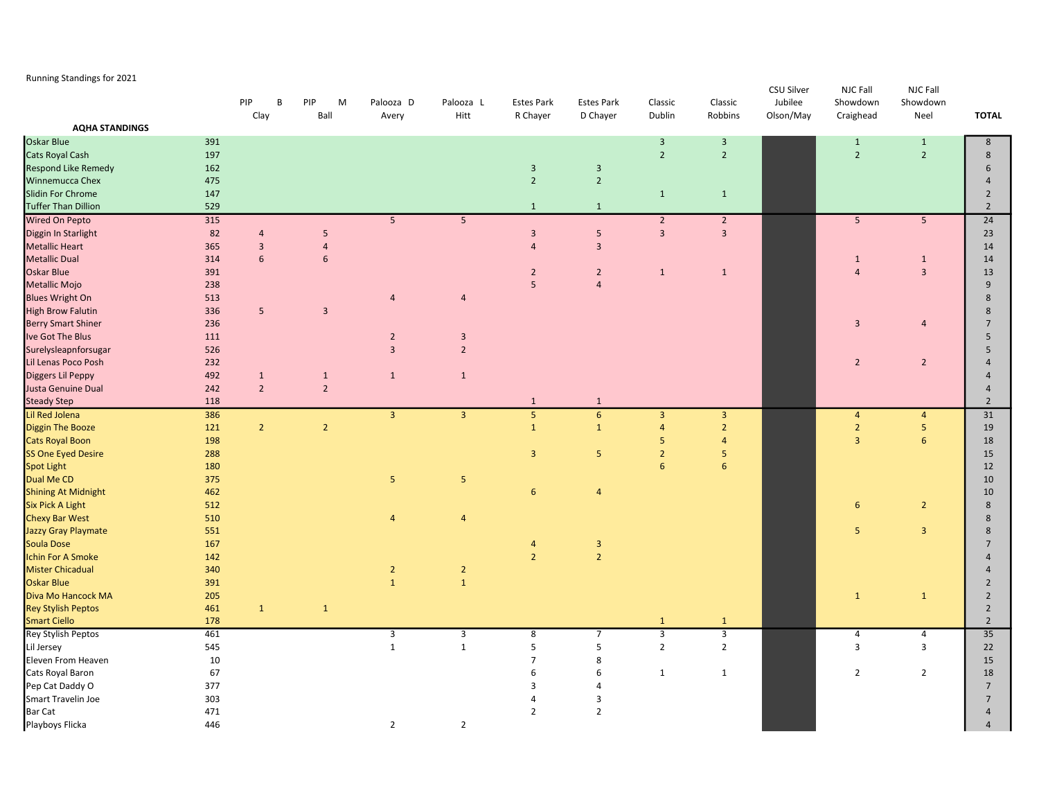## Running Standings for 2021

|                                    |            | PIP<br><b>B</b><br>Clay | PIP<br>M<br>Ball        | Palooza D<br>Avery             | Palooza L<br>Hitt       | <b>Estes Park</b><br>R Chayer    | <b>Estes Park</b><br>D Chayer             | Classic<br>Dublin              | Classic<br>Robbins | CSU Silver<br>Jubilee<br>Olson/May | NJC Fall<br>Showdown<br>Craighead | <b>NJC Fall</b><br>Showdown<br>Neel | <b>TOTAL</b>                     |
|------------------------------------|------------|-------------------------|-------------------------|--------------------------------|-------------------------|----------------------------------|-------------------------------------------|--------------------------------|--------------------|------------------------------------|-----------------------------------|-------------------------------------|----------------------------------|
| <b>AQHA STANDINGS</b>              |            |                         |                         |                                |                         |                                  |                                           |                                |                    |                                    |                                   |                                     |                                  |
| Oskar Blue                         | 391        |                         |                         |                                |                         |                                  |                                           | $\overline{3}$                 | $\overline{3}$     |                                    | $\mathbf{1}$                      | $\mathbf{1}$                        | 8                                |
| Cats Royal Cash                    | 197        |                         |                         |                                |                         |                                  |                                           | $\overline{2}$                 | $\overline{2}$     |                                    | $\overline{2}$                    | $\overline{2}$                      | 8                                |
| Respond Like Remedy                | 162        |                         |                         |                                |                         | $\mathbf{3}$                     | $\overline{3}$                            |                                |                    |                                    |                                   |                                     | 6                                |
| Winnemucca Chex                    | 475        |                         |                         |                                |                         | $\overline{2}$                   | $\overline{2}$                            |                                |                    |                                    |                                   |                                     | $\overline{4}$                   |
| Slidin For Chrome                  | 147        |                         |                         |                                |                         |                                  |                                           | $\mathbf{1}$                   | $\mathbf{1}$       |                                    |                                   |                                     | $\overline{2}$                   |
| <b>Tuffer Than Dillion</b>         | 529        |                         |                         |                                |                         | $\mathbf{1}$                     | $\mathbf{1}$                              |                                |                    |                                    |                                   |                                     | $\overline{2}$                   |
| Wired On Pepto                     | 315        |                         |                         | $5\overline{)}$                | $5\overline{)}$         |                                  |                                           | $\overline{2}$                 | $\overline{2}$     |                                    | $5\phantom{.}$                    | 5 <sub>5</sub>                      | 24                               |
| Diggin In Starlight                | 82         | 4                       | 5                       |                                |                         | $\overline{\mathbf{3}}$          | 5                                         | $\overline{3}$                 | $\overline{3}$     |                                    |                                   |                                     | 23                               |
| <b>Metallic Heart</b>              | 365        | $\overline{\mathbf{3}}$ | $\overline{4}$          |                                |                         | $\overline{4}$                   | $\overline{3}$                            |                                |                    |                                    |                                   |                                     | 14                               |
| <b>Metallic Dual</b>               | 314        | 6                       | 6                       |                                |                         |                                  |                                           |                                |                    |                                    | $\mathbf{1}$                      | $\mathbf{1}$                        | 14                               |
| Oskar Blue                         | 391        |                         |                         |                                |                         | $\overline{2}$                   | $\overline{2}$                            | $\mathbf{1}$                   | $\mathbf{1}$       |                                    | $\overline{4}$                    | $\overline{\mathbf{3}}$             | 13                               |
| Metallic Mojo                      | 238        |                         |                         |                                |                         | 5                                | $\overline{4}$                            |                                |                    |                                    |                                   |                                     | 9                                |
| <b>Blues Wright On</b>             | 513        |                         |                         | $\overline{4}$                 | $\overline{4}$          |                                  |                                           |                                |                    |                                    |                                   |                                     | 8                                |
| <b>High Brow Falutin</b>           | 336        | 5                       | $\overline{\mathbf{3}}$ |                                |                         |                                  |                                           |                                |                    |                                    |                                   |                                     | 8                                |
| <b>Berry Smart Shiner</b>          | 236        |                         |                         |                                |                         |                                  |                                           |                                |                    |                                    | $\overline{3}$                    | $\overline{4}$                      | $\overline{7}$                   |
| Ive Got The Blus                   | 111        |                         |                         | $\overline{2}$                 | $\overline{\mathbf{3}}$ |                                  |                                           |                                |                    |                                    |                                   |                                     | 5                                |
| Surelysleapnforsugar               | 526        |                         |                         | $\overline{3}$                 | $\overline{2}$          |                                  |                                           |                                |                    |                                    |                                   |                                     | 5                                |
| Lil Lenas Poco Posh                | 232        |                         |                         |                                |                         |                                  |                                           |                                |                    |                                    | $\overline{2}$                    | $\overline{2}$                      | $\overline{a}$                   |
| Diggers Lil Peppy                  | 492        | $\mathbf{1}$            | $\mathbf{1}$            | $\mathbf{1}$                   | $\mathbf{1}$            |                                  |                                           |                                |                    |                                    |                                   |                                     | $\overline{4}$                   |
| Justa Genuine Dual                 | 242        | $\overline{2}$          | $\overline{2}$          |                                |                         |                                  |                                           |                                |                    |                                    |                                   |                                     | $\overline{4}$                   |
| <b>Steady Step</b>                 | 118        |                         |                         |                                |                         | $\mathbf{1}$                     | $\mathbf{1}$                              |                                |                    |                                    |                                   |                                     | $\overline{2}$                   |
| Lil Red Jolena                     | 386        |                         |                         | $\overline{3}$                 | $\overline{\mathbf{3}}$ | $\sqrt{5}$                       | $\boldsymbol{6}$                          | $\overline{3}$                 | $\overline{3}$     |                                    | $\overline{4}$                    | $\overline{a}$                      | 31                               |
| Diggin The Booze                   | 121        | $\overline{2}$          | $\overline{2}$          |                                |                         | $\mathbf{1}$                     | $\mathbf 1$                               | $\overline{4}$                 | $\overline{2}$     |                                    | $\overline{2}$                    | $\overline{5}$                      | 19                               |
| <b>Cats Royal Boon</b>             | 198        |                         |                         |                                |                         |                                  |                                           | 5                              | $\overline{4}$     |                                    | $\overline{3}$                    | $6\phantom{1}$                      | 18                               |
| SS One Eyed Desire                 | 288        |                         |                         |                                |                         | $\overline{3}$                   | 5                                         | $\overline{2}$                 | 5                  |                                    |                                   |                                     | 15                               |
| Spot Light                         | 180        |                         |                         |                                |                         |                                  |                                           | 6                              | 6                  |                                    |                                   |                                     | 12                               |
| Dual Me CD                         | 375        |                         |                         | 5                              | $5\phantom{.0}$         |                                  |                                           |                                |                    |                                    |                                   |                                     | 10                               |
| <b>Shining At Midnight</b>         | 462        |                         |                         |                                |                         | 6                                | $\overline{4}$                            |                                |                    |                                    |                                   |                                     | 10                               |
| Six Pick A Light                   | 512        |                         |                         |                                |                         |                                  |                                           |                                |                    |                                    | 6                                 |                                     | $\bf 8$                          |
| <b>Chexy Bar West</b>              | 510        |                         |                         |                                | $\overline{4}$          |                                  |                                           |                                |                    |                                    |                                   | $\overline{2}$                      | $\bf 8$                          |
| Jazzy Gray Playmate                | 551        |                         |                         | $\overline{4}$                 |                         |                                  |                                           |                                |                    |                                    | 5                                 | $\overline{3}$                      | 8                                |
| Soula Dose                         |            |                         |                         |                                |                         |                                  |                                           |                                |                    |                                    |                                   |                                     | $\overline{7}$                   |
| <b>Ichin For A Smoke</b>           | 167        |                         |                         |                                |                         | $\overline{a}$<br>$\overline{2}$ | $\overline{\mathbf{3}}$<br>$\overline{2}$ |                                |                    |                                    |                                   |                                     | $\overline{a}$                   |
| <b>Mister Chicadual</b>            | 142<br>340 |                         |                         |                                | $\overline{2}$          |                                  |                                           |                                |                    |                                    |                                   |                                     | $\overline{4}$                   |
| Oskar Blue                         | 391        |                         |                         | $\overline{2}$<br>$\mathbf{1}$ | $\mathbf{1}$            |                                  |                                           |                                |                    |                                    |                                   |                                     | $\overline{2}$                   |
|                                    |            |                         |                         |                                |                         |                                  |                                           |                                |                    |                                    |                                   |                                     |                                  |
| Diva Mo Hancock MA                 | 205        |                         |                         |                                |                         |                                  |                                           |                                |                    |                                    | $\mathbf{1}$                      | $\mathbf{1}$                        | $\overline{2}$                   |
| Rey Stylish Peptos                 | 461<br>178 | $\mathbf{1}$            | $\mathbf{1}$            |                                |                         |                                  |                                           |                                |                    |                                    |                                   |                                     | $\overline{2}$<br>$\overline{2}$ |
| Smart Ciello<br>Rey Stylish Peptos | 461        |                         |                         |                                |                         |                                  | $\overline{7}$                            | $\mathbf{1}$<br>$\overline{3}$ | $\mathbf{1}$       |                                    |                                   | 4                                   | 35                               |
|                                    |            |                         |                         | 3                              | 3                       | 8                                |                                           |                                | $\overline{3}$     |                                    | 4                                 |                                     |                                  |
| Lil Jersey                         | 545        |                         |                         | $\mathbf 1$                    | $\mathbf{1}$            | 5                                | 5                                         | $\overline{2}$                 | $\mathbf 2$        |                                    | $\overline{\mathbf{3}}$           | $\mathsf 3$                         | 22                               |
| Eleven From Heaven                 | 10         |                         |                         |                                |                         | $\overline{7}$                   | 8                                         |                                |                    |                                    |                                   |                                     | 15                               |
| Cats Royal Baron                   | 67         |                         |                         |                                |                         | 6                                | 6                                         | $\mathbf{1}$                   | $\mathbf{1}$       |                                    | $\overline{2}$                    | $\overline{2}$                      | 18                               |
| Pep Cat Daddy O                    | 377        |                         |                         |                                |                         | 3                                | 4                                         |                                |                    |                                    |                                   |                                     | $7\overline{ }$                  |
| Smart Travelin Joe                 | 303        |                         |                         |                                |                         | 4                                | 3                                         |                                |                    |                                    |                                   |                                     | $\overline{7}$                   |
| Bar Cat                            | 471        |                         |                         |                                |                         | $\overline{2}$                   | $\overline{2}$                            |                                |                    |                                    |                                   |                                     | $\overline{4}$                   |
| Playboys Flicka                    | 446        |                         |                         | $\overline{2}$                 | $\overline{2}$          |                                  |                                           |                                |                    |                                    |                                   |                                     | $\overline{4}$                   |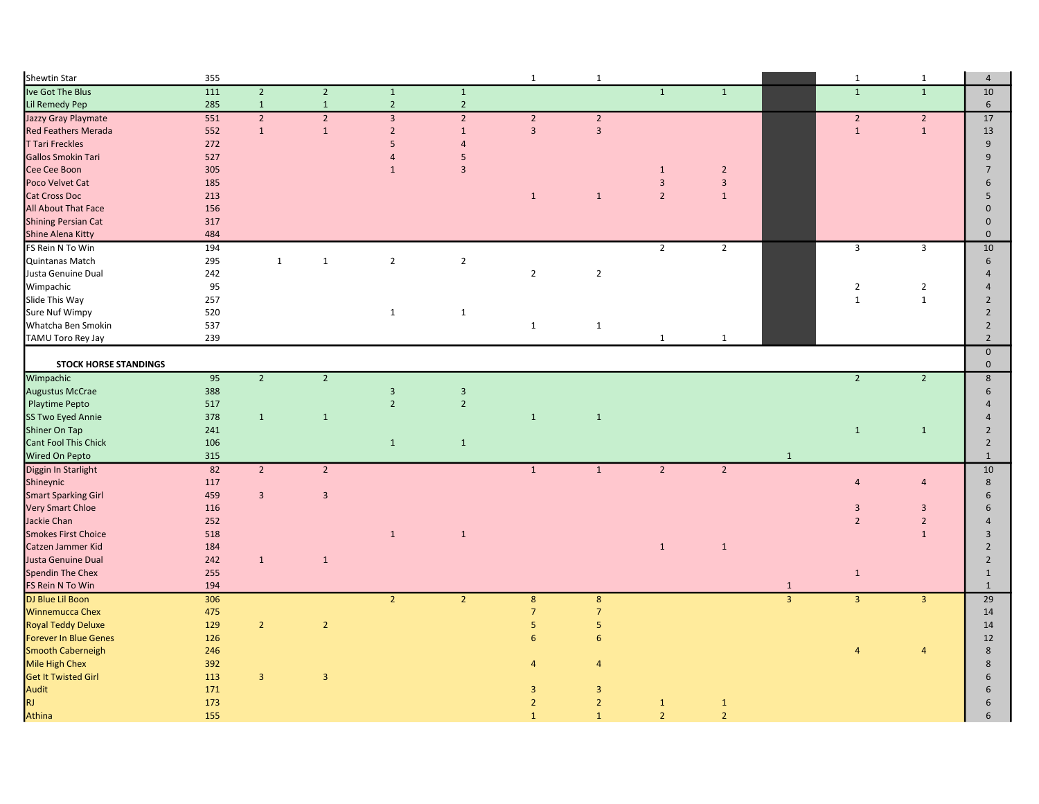| Shewtin Star                         | 355        |                |                |                |                | $\mathbf{1}$              | $\mathbf 1$               |                         |                |                                | $\mathbf{1}$   | $\mathbf{1}$   | $\overline{4}$               |
|--------------------------------------|------------|----------------|----------------|----------------|----------------|---------------------------|---------------------------|-------------------------|----------------|--------------------------------|----------------|----------------|------------------------------|
| Ive Got The Blus                     | 111        | $\overline{2}$ | $\overline{2}$ | $\mathbf 1$    | $\mathbf 1$    |                           |                           | $\overline{1}$          | $\mathbf{1}$   |                                | $\overline{1}$ | $\overline{1}$ | 10                           |
| Lil Remedy Pep                       | 285        | $\mathbf 1$    | $\mathbf{1}$   | $\overline{2}$ | $\overline{2}$ |                           |                           |                         |                |                                |                |                | 6                            |
| Jazzy Gray Playmate                  | 551        | $\overline{2}$ | $\overline{2}$ | $\overline{3}$ | $\overline{2}$ | $\overline{2}$            | $\overline{2}$            |                         |                |                                | $\overline{2}$ | $\overline{2}$ | 17                           |
| <b>Red Feathers Merada</b>           | 552        | $\mathbf{1}$   | $\mathbf 1$    | $\overline{2}$ | $1\,$          | $\overline{3}$            | $\overline{3}$            |                         |                |                                | $\mathbf 1$    | $\mathbf 1$    | 13                           |
| <b>T Tari Freckles</b>               | 272        |                |                | 5              | $\overline{4}$ |                           |                           |                         |                |                                |                |                | 9                            |
| Gallos Smokin Tari                   | 527        |                |                | $\overline{4}$ | 5              |                           |                           |                         |                |                                |                |                | 9                            |
| Cee Cee Boon                         | 305        |                |                | $\mathbf{1}$   | $\overline{3}$ |                           |                           | $\mathbf{1}$            | $\overline{2}$ |                                |                |                | $\overline{7}$               |
| Poco Velvet Cat                      | 185        |                |                |                |                |                           |                           | $\overline{\mathbf{3}}$ | $\mathsf 3$    |                                |                |                | 6                            |
| <b>Cat Cross Doc</b>                 | 213        |                |                |                |                | $\mathbf{1}$              | $\mathbf{1}$              | $\overline{2}$          | $\mathbf{1}$   |                                |                |                | 5                            |
| All About That Face                  | 156        |                |                |                |                |                           |                           |                         |                |                                |                |                | $\Omega$                     |
| <b>Shining Persian Cat</b>           | 317        |                |                |                |                |                           |                           |                         |                |                                |                |                | $\mathbf{0}$                 |
| Shine Alena Kitty                    | 484        |                |                |                |                |                           |                           |                         |                |                                |                |                | $\mathbf{0}$                 |
| FS Rein N To Win                     | 194        |                |                |                |                |                           |                           | $\overline{2}$          | $\overline{2}$ |                                | $\mathsf 3$    | $\overline{3}$ | 10                           |
| Quintanas Match                      | 295        | $\mathbf{1}$   | $\mathbf{1}$   | $\overline{2}$ | $\overline{2}$ |                           |                           |                         |                |                                |                |                | 6                            |
| Justa Genuine Dual                   | 242        |                |                |                |                | $\sqrt{2}$                | $\overline{2}$            |                         |                |                                |                |                | $\Delta$                     |
| Wimpachic                            | 95         |                |                |                |                |                           |                           |                         |                |                                | $\overline{2}$ | $\overline{2}$ |                              |
| Slide This Way                       | 257        |                |                |                |                |                           |                           |                         |                |                                | $\mathbf 1$    | $\mathbf{1}$   | $\overline{2}$               |
| <b>Sure Nuf Wimpy</b>                | 520        |                |                | $\mathbf{1}$   | $\mathbf{1}$   |                           |                           |                         |                |                                |                |                | $\overline{2}$               |
| Whatcha Ben Smokin                   | 537        |                |                |                |                | $1\,$                     | $\mathbf{1}$              |                         |                |                                |                |                | $\overline{2}$               |
| TAMU Toro Rey Jay                    | 239        |                |                |                |                |                           |                           | 1                       | 1              |                                |                |                | $\overline{2}$               |
|                                      |            |                |                |                |                |                           |                           |                         |                |                                |                |                | $\mathbf 0$                  |
| <b>STOCK HORSE STANDINGS</b>         |            |                |                |                |                |                           |                           |                         |                |                                |                |                | $\mathbf 0$                  |
| Wimpachic                            | 95         | $\overline{2}$ | $2^{\circ}$    |                |                |                           |                           |                         |                |                                | $\overline{2}$ | $\overline{2}$ | $\,$ 8                       |
| Augustus McCrae                      | 388        |                |                | $\overline{3}$ | $\overline{3}$ |                           |                           |                         |                |                                |                |                | 6                            |
| <b>Playtime Pepto</b>                | 517        |                |                | $\overline{2}$ | $\overline{2}$ |                           |                           |                         |                |                                |                |                |                              |
| SS Two Eyed Annie                    | 378        | $\mathbf{1}$   | $\mathbf{1}$   |                |                | $\mathbf{1}$              | $\mathbf{1}$              |                         |                |                                |                |                |                              |
| Shiner On Tap                        | 241        |                |                |                |                |                           |                           |                         |                |                                | $\mathbf 1$    | $\mathbf{1}$   | $\overline{2}$               |
| Cant Fool This Chick                 | 106        |                |                | $\mathbf{1}$   | $\mathbf{1}$   |                           |                           |                         |                |                                |                |                | $\overline{2}$               |
| Wired On Pepto                       | 315        |                |                |                |                |                           |                           |                         |                | $\mathbf{1}$                   |                |                | $\mathbf{1}$                 |
| Diggin In Starlight                  | 82         | $\overline{2}$ | $\overline{2}$ |                |                | $\mathbf 1$               | $\mathbf 1$               | $\overline{2}$          | $\overline{2}$ |                                |                |                | 10                           |
| Shineynic                            | 117        |                |                |                |                |                           |                           |                         |                |                                | $\overline{4}$ | $\overline{4}$ | 8                            |
| <b>Smart Sparking Girl</b>           | 459        | $\overline{3}$ | $\overline{3}$ |                |                |                           |                           |                         |                |                                |                |                | 6                            |
| <b>Very Smart Chloe</b>              | 116        |                |                |                |                |                           |                           |                         |                |                                | $\overline{3}$ | $\overline{3}$ | 6                            |
| Jackie Chan                          | 252        |                |                |                |                |                           |                           |                         |                |                                | $\overline{2}$ | $\overline{2}$ |                              |
| <b>Smokes First Choice</b>           | 518        |                |                | $\mathbf{1}$   | $\mathbf{1}$   |                           |                           |                         |                |                                |                | $\mathbf{1}$   | $\overline{3}$               |
| Catzen Jammer Kid                    | 184        |                |                |                |                |                           |                           |                         |                |                                |                |                | $\overline{2}$               |
| Justa Genuine Dual                   |            |                |                |                |                |                           |                           | $\mathbf{1}$            | $\mathbf{1}$   |                                |                |                | $\overline{2}$               |
| Spendin The Chex                     | 242        | $\mathbf{1}$   | $\mathbf 1$    |                |                |                           |                           |                         |                |                                |                |                |                              |
|                                      | 255<br>194 |                |                |                |                |                           |                           |                         |                |                                | $\mathbf 1$    |                | $\mathbf{1}$<br>$\mathbf{1}$ |
| FS Rein N To Win<br>DJ Blue Lil Boon | 306        |                |                | 2 <sup>1</sup> | $\overline{2}$ |                           |                           |                         |                | $\mathbf{1}$<br>$\overline{3}$ | $\overline{3}$ | $\overline{3}$ | 29                           |
| <b>Winnemucca Chex</b>               | 475        |                |                |                |                | $\bf 8$<br>$\overline{7}$ | $\bf 8$<br>$\overline{7}$ |                         |                |                                |                |                |                              |
|                                      |            |                |                |                |                |                           |                           |                         |                |                                |                |                | 14                           |
| <b>Royal Teddy Deluxe</b>            | 129        | $\overline{2}$ | $\overline{2}$ |                |                | 5                         | $\sqrt{5}$                |                         |                |                                |                |                | 14                           |
| Forever In Blue Genes                | 126        |                |                |                |                | 6                         | $\sqrt{6}$                |                         |                |                                |                |                | 12                           |
| <b>Smooth Caberneigh</b>             | 246        |                |                |                |                |                           |                           |                         |                |                                | $\overline{4}$ | $\overline{4}$ | 8                            |
| Mile High Chex                       | 392        |                |                |                |                | $\overline{4}$            | $\overline{4}$            |                         |                |                                |                |                | 8                            |
| <b>Get It Twisted Girl</b>           | 113        | $\mathbf{3}$   | $\mathbf{3}$   |                |                |                           |                           |                         |                |                                |                |                | 6                            |
| Audit                                | 171        |                |                |                |                | 3                         | $\overline{3}$            |                         |                |                                |                |                | 6                            |
| <b>RJ</b>                            | 173        |                |                |                |                | $\overline{2}$            | $\overline{2}$            | $\mathbf{1}$            | $\mathbf{1}$   |                                |                |                | 6                            |
| Athina                               | 155        |                |                |                |                | $\mathbf{1}$              | $\mathbf{1}$              | $\overline{2}$          | $\overline{2}$ |                                |                |                | 6                            |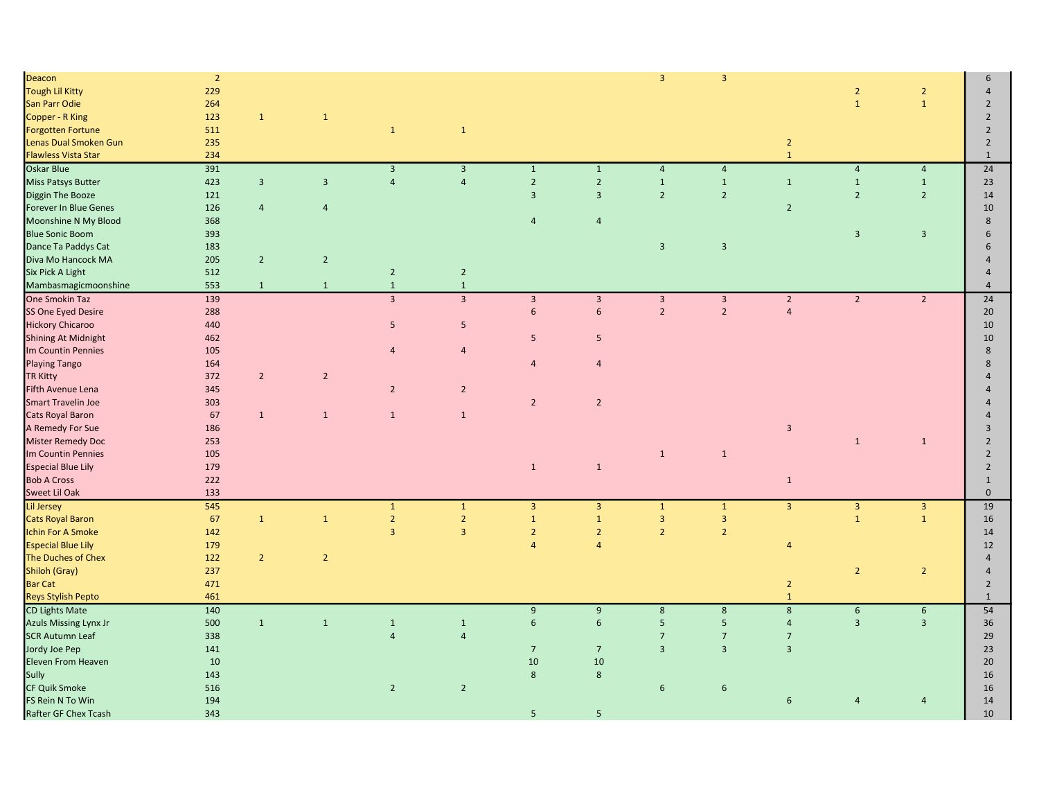| Deacon                       | $\overline{2}$ |                |                |                |                         |                         |                         | $\overline{\mathbf{3}}$ | $\overline{\mathbf{3}}$ |                |                         |                  | 6                              |
|------------------------------|----------------|----------------|----------------|----------------|-------------------------|-------------------------|-------------------------|-------------------------|-------------------------|----------------|-------------------------|------------------|--------------------------------|
| <b>Tough Lil Kitty</b>       | 229            |                |                |                |                         |                         |                         |                         |                         |                | $\overline{2}$          | $\overline{2}$   | $\overline{4}$                 |
| San Parr Odie                | 264            |                |                |                |                         |                         |                         |                         |                         |                | $\mathbf{1}$            | $\mathbf{1}$     | $\overline{2}$                 |
| Copper - R King              | 123            | $\mathbf 1$    | $\mathbf{1}$   |                |                         |                         |                         |                         |                         |                |                         |                  | $\overline{2}$                 |
| <b>Forgotten Fortune</b>     | 511            |                |                | $\mathbf{1}$   | $\mathbf{1}$            |                         |                         |                         |                         |                |                         |                  | $\overline{2}$                 |
| Lenas Dual Smoken Gun        | 235            |                |                |                |                         |                         |                         |                         |                         | $\overline{2}$ |                         |                  | $\overline{2}$                 |
| <b>Flawless Vista Star</b>   | 234            |                |                |                |                         |                         |                         |                         |                         | $\mathbf{1}$   |                         |                  | $\mathbf{1}$                   |
| <b>Oskar Blue</b>            | 391            |                |                | $\overline{3}$ | $\overline{\mathbf{3}}$ | $\mathbf{1}$            | $\mathbf 1$             | $\overline{4}$          | $\overline{4}$          |                | $\overline{4}$          | $\overline{a}$   | 24                             |
| <b>Miss Patsys Butter</b>    | 423            | $\overline{3}$ | $\overline{3}$ | $\overline{4}$ | $\overline{4}$          | $\overline{2}$          | $\overline{2}$          | $\mathbf 1$             | $\mathbf{1}$            | $\mathbf{1}$   | $\mathbf 1$             | $\mathbf{1}$     | 23                             |
| Diggin The Booze             | 121            |                |                |                |                         | $\overline{\mathbf{3}}$ | $\overline{\mathbf{3}}$ | $\overline{2}$          | $\overline{2}$          |                | $\overline{2}$          | $\overline{2}$   | 14                             |
| Forever In Blue Genes        | 126            | $\overline{4}$ | $\overline{4}$ |                |                         |                         |                         |                         |                         | $\overline{2}$ |                         |                  | 10                             |
| Moonshine N My Blood         | 368            |                |                |                |                         | $\overline{4}$          | $\overline{4}$          |                         |                         |                |                         |                  | 8                              |
| <b>Blue Sonic Boom</b>       |                |                |                |                |                         |                         |                         |                         |                         |                |                         |                  | 6                              |
|                              | 393            |                |                |                |                         |                         |                         |                         |                         |                | $\overline{3}$          | $\overline{3}$   |                                |
| Dance Ta Paddys Cat          | 183            |                |                |                |                         |                         |                         | $\overline{3}$          | $\overline{3}$          |                |                         |                  | 6                              |
| Diva Mo Hancock MA           | 205            | $\overline{2}$ | $\overline{2}$ |                |                         |                         |                         |                         |                         |                |                         |                  | $\overline{4}$                 |
| Six Pick A Light             | 512            |                |                | $\overline{2}$ | $\overline{2}$          |                         |                         |                         |                         |                |                         |                  | $\overline{4}$                 |
| Mambasmagicmoonshine         | 553            | $\mathbf{1}$   | $\mathbf{1}$   | $1\,$          | $\,1\,$                 |                         |                         |                         |                         |                |                         |                  | $\overline{a}$                 |
| One Smokin Taz               | 139            |                |                | $\overline{3}$ | $\overline{3}$          | $\overline{3}$          | $\overline{3}$          | $\overline{3}$          | $\overline{3}$          | $\overline{2}$ | $\overline{2}$          | $\overline{2}$   | $\overline{24}$                |
| SS One Eyed Desire           | 288            |                |                |                |                         | $\sqrt{6}$              | 6                       | $\mathbf 2$             | $\overline{2}$          | $\sqrt{4}$     |                         |                  | 20                             |
| <b>Hickory Chicaroo</b>      | 440            |                |                | 5              | $\overline{\mathbf{5}}$ |                         |                         |                         |                         |                |                         |                  | 10                             |
| <b>Shining At Midnight</b>   | 462            |                |                |                |                         | 5                       | 5                       |                         |                         |                |                         |                  | 10                             |
| Im Countin Pennies           | 105            |                |                | $\overline{4}$ | $\overline{4}$          |                         |                         |                         |                         |                |                         |                  | 8                              |
| <b>Playing Tango</b>         | 164            |                |                |                |                         | $\overline{4}$          | $\overline{4}$          |                         |                         |                |                         |                  | 8                              |
| <b>TR Kitty</b>              | 372            | $\overline{2}$ | $\overline{2}$ |                |                         |                         |                         |                         |                         |                |                         |                  | $\overline{4}$                 |
| Fifth Avenue Lena            | 345            |                |                | $\overline{2}$ | $\overline{2}$          |                         |                         |                         |                         |                |                         |                  |                                |
| <b>Smart Travelin Joe</b>    | 303            |                |                |                |                         | $\overline{2}$          | $\overline{2}$          |                         |                         |                |                         |                  |                                |
| Cats Royal Baron             | 67             | $\mathbf{1}$   | $\mathbf{1}$   | $\mathbf{1}$   | $\mathbf{1}$            |                         |                         |                         |                         |                |                         |                  |                                |
| A Remedy For Sue             | 186            |                |                |                |                         |                         |                         |                         |                         | $\overline{3}$ |                         |                  | $\overline{3}$                 |
| Mister Remedy Doc            | 253            |                |                |                |                         |                         |                         |                         |                         |                | $\mathbf 1$             | $\mathbf{1}$     | $\overline{2}$                 |
| Im Countin Pennies           | 105            |                |                |                |                         |                         |                         | $\mathbf{1}$            | $\mathbf{1}$            |                |                         |                  | $\overline{2}$                 |
| <b>Especial Blue Lily</b>    | 179            |                |                |                |                         | $\mathbf 1$             | $\mathbf 1$             |                         |                         |                |                         |                  | $\overline{2}$                 |
| <b>Bob A Cross</b>           | 222            |                |                |                |                         |                         |                         |                         |                         | $\mathbf{1}$   |                         |                  | $\mathbf{1}$                   |
| Sweet Lil Oak                | 133            |                |                |                |                         |                         |                         |                         |                         |                |                         |                  | $\mathbf{0}$                   |
| <b>Lil Jersey</b>            | 545            |                |                | $\mathbf{1}$   | $\mathbf 1$             | $\overline{\mathbf{3}}$ | $\mathbf{3}$            | $\mathbf 1$             | $\mathbf 1$             | $\overline{3}$ | $\overline{\mathbf{3}}$ | $\mathbf{3}$     | 19                             |
| <b>Cats Royal Baron</b>      | 67             | $\mathbf 1$    | $\mathbf{1}$   | $\overline{2}$ | $\overline{2}$          | $\mathbf{1}$            | $\mathbf{1}$            | $\overline{3}$          | $\overline{\mathbf{3}}$ |                | $\mathbf{1}$            | $\mathbf{1}$     | 16                             |
| Ichin For A Smoke            | 142            |                |                | $\overline{3}$ | $\overline{3}$          | $\overline{2}$          | $\sqrt{2}$              | $\overline{2}$          | $\overline{2}$          |                |                         |                  | 14                             |
| <b>Especial Blue Lily</b>    | 179            |                |                |                |                         | $\overline{4}$          | $\overline{4}$          |                         |                         | $\overline{4}$ |                         |                  | 12                             |
| The Duches of Chex           | 122            | $\overline{2}$ | $\overline{2}$ |                |                         |                         |                         |                         |                         |                |                         |                  | $\overline{4}$                 |
| Shiloh (Gray)                | 237            |                |                |                |                         |                         |                         |                         |                         |                | $\overline{2}$          | $\overline{2}$   | $\overline{4}$                 |
|                              |                |                |                |                |                         |                         |                         |                         |                         |                |                         |                  |                                |
| <b>Bar Cat</b>               | 471<br>461     |                |                |                |                         |                         |                         |                         |                         | $\overline{2}$ |                         |                  | $\overline{2}$<br>$\mathbf{1}$ |
| <b>Reys Stylish Pepto</b>    |                |                |                |                |                         |                         |                         |                         |                         | $\mathbf{1}$   |                         |                  |                                |
| <b>CD Lights Mate</b>        | 140            |                |                |                |                         | 9                       | $9\,$                   | $\bf 8$                 | $\bf 8$                 | $\mathbf{8}$   | $\boldsymbol{6}$        | $\boldsymbol{6}$ | 54                             |
| <b>Azuls Missing Lynx Jr</b> | 500            | $\mathbf 1$    | $\,$ 1         | $1\,$          | $\mathbf 1$             | $6\overline{6}$         | $\sqrt{6}$              | $5\phantom{.}$          | $5\phantom{a}$          | $\overline{4}$ | $\overline{3}$          | $\overline{3}$   | 36                             |
| <b>SCR Autumn Leaf</b>       | 338            |                |                | $\overline{4}$ | $\overline{4}$          |                         |                         | $\overline{7}$          | $\overline{7}$          | $\overline{7}$ |                         |                  | 29                             |
| Jordy Joe Pep                | 141            |                |                |                |                         | $7\overline{ }$         | $7\overline{ }$         | $\overline{3}$          | $\overline{3}$          | $\overline{3}$ |                         |                  | 23                             |
| Eleven From Heaven           | 10             |                |                |                |                         | 10                      | 10                      |                         |                         |                |                         |                  | 20                             |
| Sully                        | 143            |                |                |                |                         | $8\phantom{1}$          | $8\phantom{1}$          |                         |                         |                |                         |                  | 16                             |
| CF Quik Smoke                | 516            |                |                | $\overline{2}$ | $\overline{2}$          |                         |                         | 6                       | $6\overline{6}$         |                |                         |                  | 16                             |
| FS Rein N To Win             | 194            |                |                |                |                         |                         |                         |                         |                         | 6              | $\overline{4}$          | $\overline{4}$   | 14                             |
| Rafter GF Chex Tcash         | 343            |                |                |                |                         | $5\phantom{a}$          | 5                       |                         |                         |                |                         |                  | 10                             |